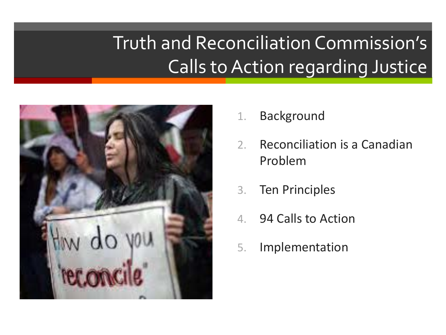## Truth and Reconciliation Commission's Calls to Action regarding Justice



- 1. Background
- 2. Reconciliation is a Canadian Problem
- 3. Ten Principles
- 4. 94 Calls to Action
- 5. Implementation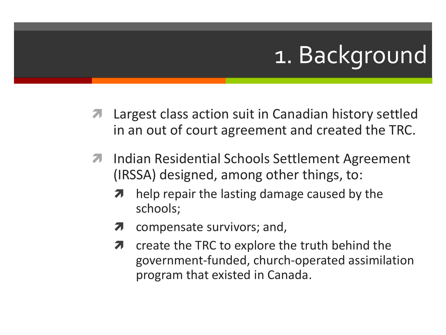# 1. Background

- Largest class action suit in Canadian history settled in an out of court agreement and created the TRC.
- **7** Indian Residential Schools Settlement Agreement (IRSSA) designed, among other things, to:
	- **7** help repair the lasting damage caused by the schools;
	- $\lambda$  compensate survivors; and,
	- create the TRC to explore the truth behind the government-funded, church-operated assimilation program that existed in Canada.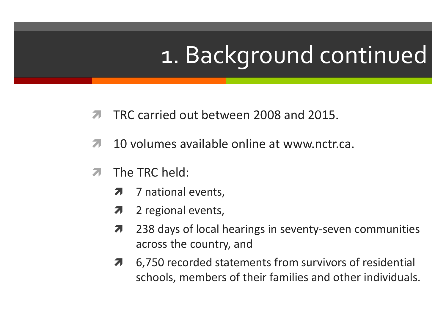# 1. Background continued

- TRC carried out between 2008 and 2015.
- 10 volumes available online at www.nctr.ca.
- **7** The TRC held:
	- **7** 7 national events,
	- $\lambda$  2 regional events,
	- **7** 238 days of local hearings in seventy-seven communities across the country, and
	- **7** 6,750 recorded statements from survivors of residential schools, members of their families and other individuals.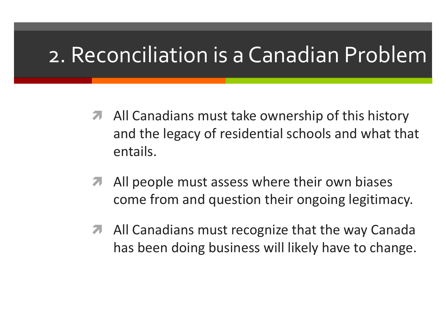## 2. Reconciliation is a Canadian Problem

- **A** All Canadians must take ownership of this history and the legacy of residential schools and what that entails.
- **A** All people must assess where their own biases come from and question their ongoing legitimacy.
- **A** All Canadians must recognize that the way Canada has been doing business will likely have to change.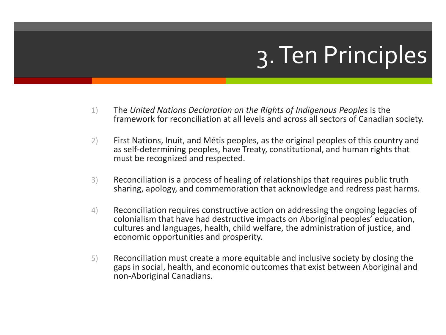# 3. Ten Principles

- 1) The *United Nations Declaration on the Rights of Indigenous Peoples* is the framework for reconciliation at all levels and across all sectors of Canadian society.
- 2) First Nations, Inuit, and Métis peoples, as the original peoples of this country and as self-determining peoples, have Treaty, constitutional, and human rights that must be recognized and respected.
- 3) Reconciliation is a process of healing of relationships that requires public truth sharing, apology, and commemoration that acknowledge and redress past harms.
- 4) Reconciliation requires constructive action on addressing the ongoing legacies of colonialism that have had destructive impacts on Aboriginal peoples' education, cultures and languages, health, child welfare, the administration of justice, and economic opportunities and prosperity.
- 5) Reconciliation must create a more equitable and inclusive society by closing the gaps in social, health, and economic outcomes that exist between Aboriginal and non-Aboriginal Canadians.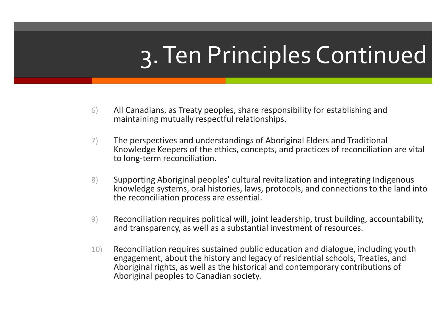# 3. Ten Principles Continued

- 6) All Canadians, as Treaty peoples, share responsibility for establishing and maintaining mutually respectful relationships.
- 7) The perspectives and understandings of Aboriginal Elders and Traditional Knowledge Keepers of the ethics, concepts, and practices of reconciliation are vital to long-term reconciliation.
- 8) Supporting Aboriginal peoples' cultural revitalization and integrating Indigenous knowledge systems, oral histories, laws, protocols, and connections to the land into the reconciliation process are essential.
- 9) Reconciliation requires political will, joint leadership, trust building, accountability, and transparency, as well as a substantial investment of resources.
- 10) Reconciliation requires sustained public education and dialogue, including youth engagement, about the history and legacy of residential schools, Treaties, and Aboriginal rights, as well as the historical and contemporary contributions of Aboriginal peoples to Canadian society.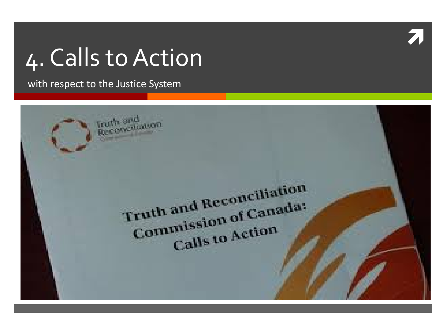# 4. Calls to Action

with respect to the Justice System



 $\overline{\lambda}$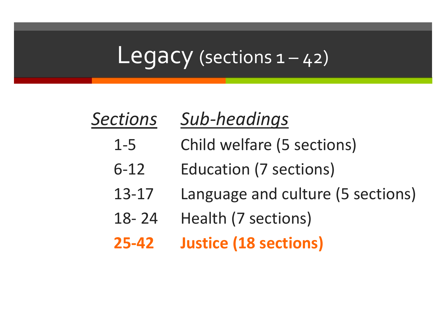### Legacy (sections  $1 - 42$ )

### *Sections Sub-headings*

- 1-5 Child welfare (5 sections)
	- 6-12 Education (7 sections)
	- 13-17 Language and culture (5 sections)
	- 18- 24 Health (7 sections)
	- **25-42 Justice (18 sections)**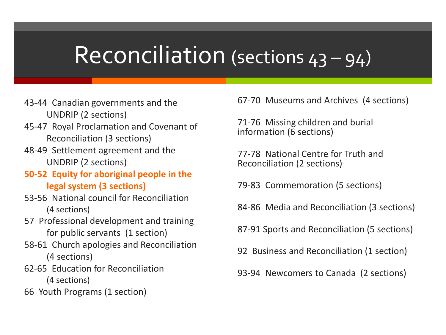## Reconciliation (sections 43 – 94)

- 43-44 Canadian governments and the UNDRIP (2 sections)
- 45-47 Royal Proclamation and Covenant of Reconciliation (3 sections)
- 48-49 Settlement agreement and the UNDRIP (2 sections)
- **50-52 Equity for aboriginal people in the legal system (3 sections)**
- 53-56 National council for Reconciliation (4 sections)
- 57 Professional development and training for public servants (1 section)
- 58-61 Church apologies and Reconciliation (4 sections)
- 62-65 Education for Reconciliation (4 sections)
- 66 Youth Programs (1 section)

67-70 Museums and Archives (4 sections)

71-76 Missing children and burial information (6 sections)

77-78 National Centre for Truth and Reconciliation (2 sections)

79-83 Commemoration (5 sections)

84-86 Media and Reconciliation (3 sections)

87-91 Sports and Reconciliation (5 sections)

- 92 Business and Reconciliation (1 section)
- 93-94 Newcomers to Canada (2 sections)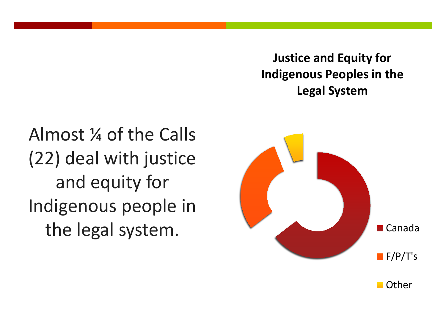**Justice and Equity for Indigenous Peoples in the Legal System**

Almost ¼ of the Calls (22) deal with justice and equity for Indigenous people in the legal system.

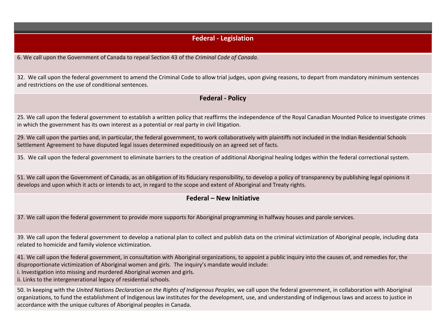#### **Federal - Legislation**

6. We call upon the Government of Canada to repeal Section 43 of the *Criminal Code of Canada*.

32. We call upon the federal government to amend the Criminal Code to allow trial judges, upon giving reasons, to depart from mandatory minimum sentences and restrictions on the use of conditional sentences.

#### **Federal - Policy**

25. We call upon the federal government to establish a written policy that reaffirms the independence of the Royal Canadian Mounted Police to investigate crimes in which the government has its own interest as a potential or real party in civil litigation.

29. We call upon the parties and, in particular, the federal government, to work collaboratively with plaintiffs not included in the Indian Residential Schools Settlement Agreement to have disputed legal issues determined expeditiously on an agreed set of facts.

35. We call upon the federal government to eliminate barriers to the creation of additional Aboriginal healing lodges within the federal correctional system.

51. We call upon the Government of Canada, as an obligation of its fiduciary responsibility, to develop a policy of transparency by publishing legal opinions it develops and upon which it acts or intends to act, in regard to the scope and extent of Aboriginal and Treaty rights.

#### **Federal – New Initiative**

37. We call upon the federal government to provide more supports for Aboriginal programming in halfway houses and parole services.

39. We call upon the federal government to develop a national plan to collect and publish data on the criminal victimization of Aboriginal people, including data related to homicide and family violence victimization.

41. We call upon the federal government, in consultation with Aboriginal organizations, to appoint a public inquiry into the causes of, and remedies for, the disproportionate victimization of Aboriginal women and girls. The inquiry's mandate would include:

i. Investigation into missing and murdered Aboriginal women and girls.

ii. Links to the intergenerational legacy of residential schools.

50. In keeping with the *United Nations Declaration on the Rights of Indigenous Peoples*, we call upon the federal government, in collaboration with Aboriginal organizations, to fund the establishment of Indigenous law institutes for the development, use, and understanding of Indigenous laws and access to justice in accordance with the unique cultures of Aboriginal peoples in Canada.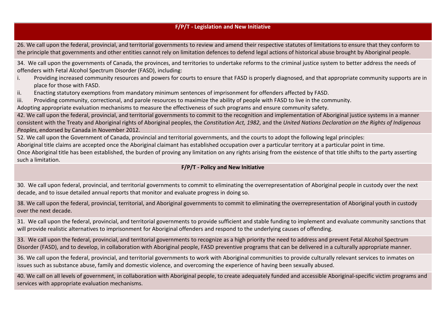#### **F/P/T - Legislation and New Initiative**

26. We call upon the federal, provincial, and territorial governments to review and amend their respective statutes of limitations to ensure that they conform to the principle that governments and other entities cannot rely on limitation defences to defend legal actions of historical abuse brought by Aboriginal people.

34. We call upon the governments of Canada, the provinces, and territories to undertake reforms to the criminal justice system to better address the needs of offenders with Fetal Alcohol Spectrum Disorder (FASD), including:

- i. Providing increased community resources and powers for courts to ensure that FASD is properly diagnosed, and that appropriate community supports are in place for those with FASD.
- ii. Enacting statutory exemptions from mandatory minimum sentences of imprisonment for offenders affected by FASD.
- iii. Providing community, correctional, and parole resources to maximize the ability of people with FASD to live in the community.

Adopting appropriate evaluation mechanisms to measure the effectiveness of such programs and ensure community safety.

42. We call upon the federal, provincial, and territorial governments to commit to the recognition and implementation of Aboriginal justice systems in a manner consistent with the Treaty and Aboriginal rights of Aboriginal peoples, the *Constitution Act, 1982*, and the *United Nations Declaration on the Rights of Indigenous Peoples*, endorsed by Canada in November 2012.

52. We call upon the Government of Canada, provincial and territorial governments, and the courts to adopt the following legal principles:

Aboriginal title claims are accepted once the Aboriginal claimant has established occupation over a particular territory at a particular point in time.

Once Aboriginal title has been established, the burden of proving any limitation on any rights arising from the existence of that title shifts to the party asserting such a limitation.

#### **F/P/T - Policy and New Initiative**

30. We call upon federal, provincial, and territorial governments to commit to eliminating the overrepresentation of Aboriginal people in custody over the next decade, and to issue detailed annual reports that monitor and evaluate progress in doing so.

38. We call upon the federal, provincial, territorial, and Aboriginal governments to commit to eliminating the overrepresentation of Aboriginal youth in custody over the next decade.

31. We call upon the federal, provincial, and territorial governments to provide sufficient and stable funding to implement and evaluate community sanctions that will provide realistic alternatives to imprisonment for Aboriginal offenders and respond to the underlying causes of offending.

33. We call upon the federal, provincial, and territorial governments to recognize as a high priority the need to address and prevent Fetal Alcohol Spectrum Disorder (FASD), and to develop, in collaboration with Aboriginal people, FASD preventive programs that can be delivered in a culturally appropriate manner.

36. We call upon the federal, provincial, and territorial governments to work with Aboriginal communities to provide culturally relevant services to inmates on issues such as substance abuse, family and domestic violence, and overcoming the experience of having been sexually abused.

40. We call on all levels of government, in collaboration with Aboriginal people, to create adequately funded and accessible Aboriginal-specific victim programs and services with appropriate evaluation mechanisms.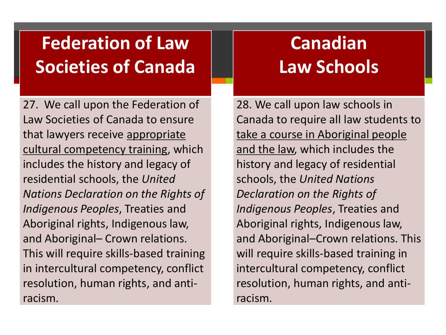### **Federation of Law Societies of Canada**

27. We call upon the Federation of Law Societies of Canada to ensure that lawyers receive appropriate cultural competency training, which includes the history and legacy of residential schools, the *United Nations Declaration on the Rights of Indigenous Peoples*, Treaties and Aboriginal rights, Indigenous law, and Aboriginal– Crown relations. This will require skills-based training in intercultural competency, conflict resolution, human rights, and antiracism.

### **Canadian Law Schools**

28. We call upon law schools in Canada to require all law students to take a course in Aboriginal people and the law, which includes the history and legacy of residential schools, the *United Nations Declaration on the Rights of Indigenous Peoples*, Treaties and Aboriginal rights, Indigenous law, and Aboriginal–Crown relations. This will require skills-based training in intercultural competency, conflict resolution, human rights, and antiracism.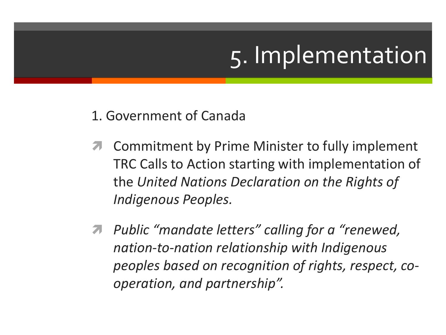# 5. Implementation

- 1. Government of Canada
- Commitment by Prime Minister to fully implement TRC Calls to Action starting with implementation of the *United Nations Declaration on the Rights of Indigenous Peoples.*
- *Public "mandate letters" calling for a "renewed, nation-to-nation relationship with Indigenous peoples based on recognition of rights, respect, cooperation, and partnership".*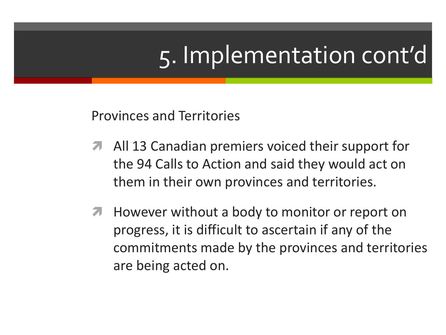# 5. Implementation cont'd

Provinces and Territories

- **A** All 13 Canadian premiers voiced their support for the 94 Calls to Action and said they would act on them in their own provinces and territories.
- **A** However without a body to monitor or report on progress, it is difficult to ascertain if any of the commitments made by the provinces and territories are being acted on.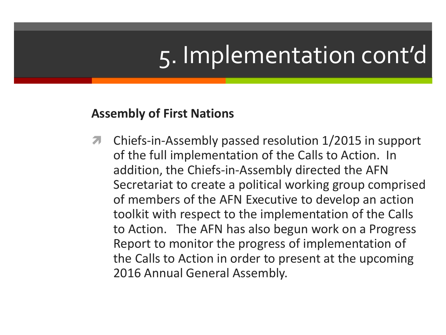# 5. Implementation cont'd

### **Assembly of First Nations**

**T** Chiefs-in-Assembly passed resolution 1/2015 in support of the full implementation of the Calls to Action. In addition, the Chiefs-in-Assembly directed the AFN Secretariat to create a political working group comprised of members of the AFN Executive to develop an action toolkit with respect to the implementation of the Calls to Action. The AFN has also begun work on a Progress Report to monitor the progress of implementation of the Calls to Action in order to present at the upcoming 2016 Annual General Assembly.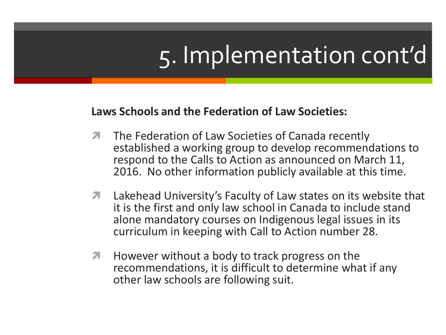# 5. Implementation cont'd

### **Laws Schools and the Federation of Law Societies:**

- **The Federation of Law Societies of Canada recently** established a working group to develop recommendations to respond to the Calls to Action as announced on March 11, 2016. No other information publicly available at this time.
- **T** Lakehead University's Faculty of Law states on its website that it is the first and only law school in Canada to include stand alone mandatory courses on Indigenous legal issues in its curriculum in keeping with Call to Action number 28.
- **However without a body to track progress on the** recommendations, it is difficult to determine what if any other law schools are following suit.